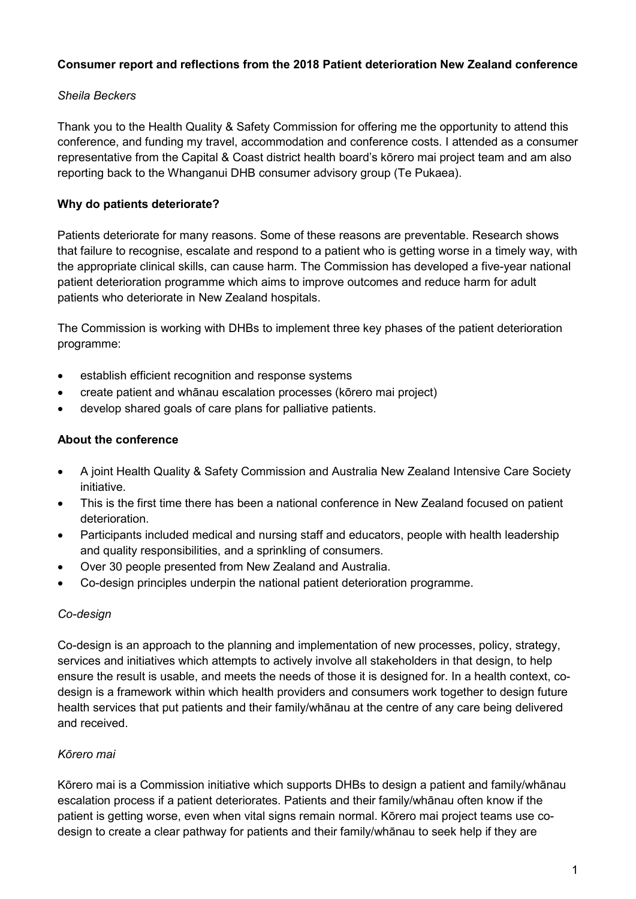# **Consumer report and reflections from the 2018 Patient deterioration New Zealand conference**

## *Sheila Beckers*

Thank you to the Health Quality & Safety Commission for offering me the opportunity to attend this conference, and funding my travel, accommodation and conference costs. I attended as a consumer representative from the Capital & Coast district health board's kōrero mai project team and am also reporting back to the Whanganui DHB consumer advisory group (Te Pukaea).

## **Why do patients deteriorate?**

Patients deteriorate for many reasons. Some of these reasons are preventable. Research shows that failure to recognise, escalate and respond to a patient who is getting worse in a timely way, with the appropriate clinical skills, can cause harm. The Commission has developed a five-year national patient deterioration programme which aims to improve outcomes and reduce harm for adult patients who deteriorate in New Zealand hospitals.

The Commission is working with DHBs to implement three key phases of the patient deterioration programme:

- establish efficient recognition and response systems
- create patient and whānau escalation processes (kōrero mai project)
- develop shared goals of care plans for palliative patients.

#### **About the conference**

- A joint Health Quality & Safety Commission and Australia New Zealand Intensive Care Society initiative.
- This is the first time there has been a national conference in New Zealand focused on patient deterioration.
- Participants included medical and nursing staff and educators, people with health leadership and quality responsibilities, and a sprinkling of consumers.
- Over 30 people presented from New Zealand and Australia.
- Co-design principles underpin the national patient deterioration programme.

### *Co-design*

Co-design is an approach to the planning and implementation of new processes, policy, strategy, services and initiatives which attempts to actively involve all stakeholders in that design, to help ensure the result is usable, and meets the needs of those it is designed for. In a health context, codesign is a framework within which health providers and consumers work together to design future health services that put patients and their family/whānau at the centre of any care being delivered and received.

### *Kōrero mai*

Kōrero mai is a Commission initiative which supports DHBs to design a patient and family/whānau escalation process if a patient deteriorates. Patients and their family/whānau often know if the patient is getting worse, even when vital signs remain normal. Kōrero mai project teams use codesign to create a clear pathway for patients and their family/whānau to seek help if they are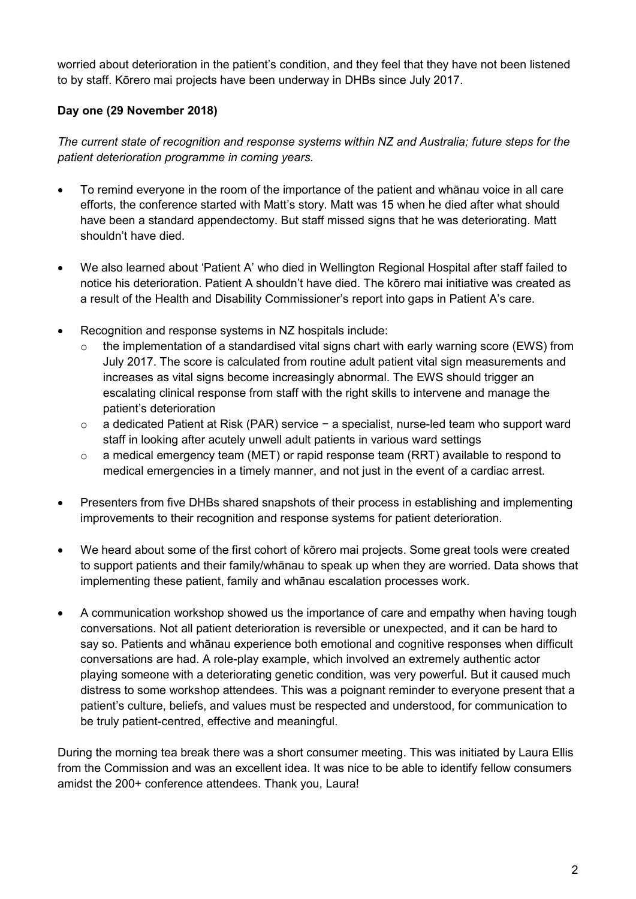worried about deterioration in the patient's condition, and they feel that they have not been listened to by staff. Kōrero mai projects have been underway in DHBs since July 2017.

# **Day one (29 November 2018)**

*The current state of recognition and response systems within NZ and Australia; future steps for the patient deterioration programme in coming years.* 

- To remind everyone in the room of the importance of the patient and whānau voice in all care efforts, the conference started with Matt's story. Matt was 15 when he died after what should have been a standard appendectomy. But staff missed signs that he was deteriorating. Matt shouldn't have died.
- We also learned about 'Patient A' who died in Wellington Regional Hospital after staff failed to notice his deterioration. Patient A shouldn't have died. The kōrero mai initiative was created as a result of the Health and Disability Commissioner's report into gaps in Patient A's care.
- Recognition and response systems in NZ hospitals include:
	- $\circ$  the implementation of a standardised vital signs chart with early warning score (EWS) from July 2017. The score is calculated from routine adult patient vital sign measurements and increases as vital signs become increasingly abnormal. The EWS should trigger an escalating clinical response from staff with the right skills to intervene and manage the patient's deterioration
	- o a dedicated Patient at Risk (PAR) service − a specialist, nurse-led team who support ward staff in looking after acutely unwell adult patients in various ward settings
	- $\circ$  a medical emergency team (MET) or rapid response team (RRT) available to respond to medical emergencies in a timely manner, and not just in the event of a cardiac arrest.
- Presenters from five DHBs shared snapshots of their process in establishing and implementing improvements to their recognition and response systems for patient deterioration.
- We heard about some of the first cohort of kōrero mai projects. Some great tools were created to support patients and their family/whānau to speak up when they are worried. Data shows that implementing these patient, family and whānau escalation processes work.
- A communication workshop showed us the importance of care and empathy when having tough conversations. Not all patient deterioration is reversible or unexpected, and it can be hard to say so. Patients and whānau experience both emotional and cognitive responses when difficult conversations are had. A role-play example, which involved an extremely authentic actor playing someone with a deteriorating genetic condition, was very powerful. But it caused much distress to some workshop attendees. This was a poignant reminder to everyone present that a patient's culture, beliefs, and values must be respected and understood, for communication to be truly patient-centred, effective and meaningful.

During the morning tea break there was a short consumer meeting. This was initiated by Laura Ellis from the Commission and was an excellent idea. It was nice to be able to identify fellow consumers amidst the 200+ conference attendees. Thank you, Laura!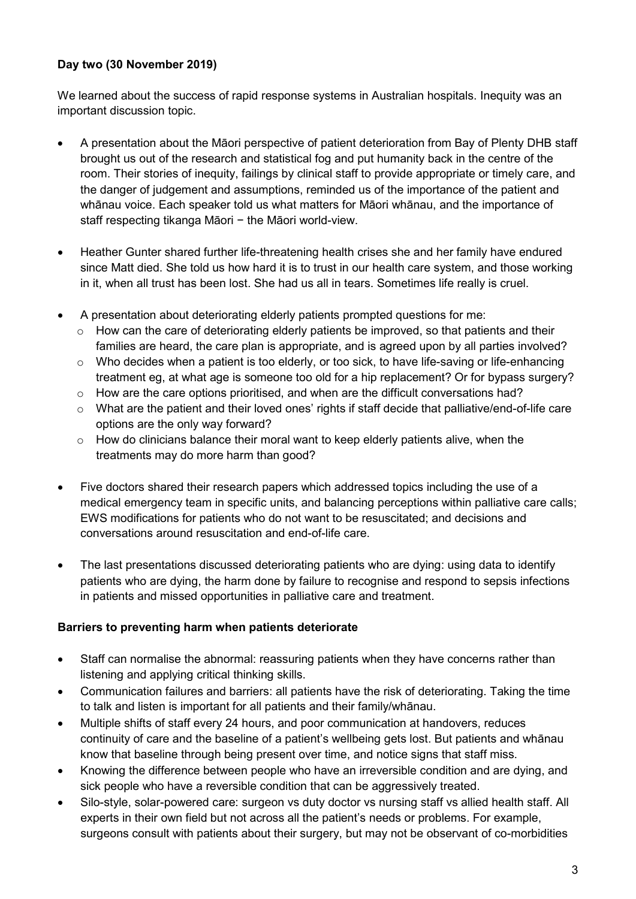# **Day two (30 November 2019)**

We learned about the success of rapid response systems in Australian hospitals. Inequity was an important discussion topic.

- A presentation about the Māori perspective of patient deterioration from Bay of Plenty DHB staff brought us out of the research and statistical fog and put humanity back in the centre of the room. Their stories of inequity, failings by clinical staff to provide appropriate or timely care, and the danger of judgement and assumptions, reminded us of the importance of the patient and whānau voice. Each speaker told us what matters for Māori whānau, and the importance of staff respecting tikanga Māori − the Māori world-view.
- Heather Gunter shared further life-threatening health crises she and her family have endured since Matt died. She told us how hard it is to trust in our health care system, and those working in it, when all trust has been lost. She had us all in tears. Sometimes life really is cruel.
- A presentation about deteriorating elderly patients prompted questions for me:
	- o How can the care of deteriorating elderly patients be improved, so that patients and their families are heard, the care plan is appropriate, and is agreed upon by all parties involved?
	- $\circ$  Who decides when a patient is too elderly, or too sick, to have life-saving or life-enhancing treatment eg, at what age is someone too old for a hip replacement? Or for bypass surgery?
	- $\circ$  How are the care options prioritised, and when are the difficult conversations had?
	- o What are the patient and their loved ones' rights if staff decide that palliative/end-of-life care options are the only way forward?
	- o How do clinicians balance their moral want to keep elderly patients alive, when the treatments may do more harm than good?
- Five doctors shared their research papers which addressed topics including the use of a medical emergency team in specific units, and balancing perceptions within palliative care calls; EWS modifications for patients who do not want to be resuscitated; and decisions and conversations around resuscitation and end-of-life care.
- The last presentations discussed deteriorating patients who are dying: using data to identify patients who are dying, the harm done by failure to recognise and respond to sepsis infections in patients and missed opportunities in palliative care and treatment.

### **Barriers to preventing harm when patients deteriorate**

- Staff can normalise the abnormal: reassuring patients when they have concerns rather than listening and applying critical thinking skills.
- Communication failures and barriers: all patients have the risk of deteriorating. Taking the time to talk and listen is important for all patients and their family/whānau.
- Multiple shifts of staff every 24 hours, and poor communication at handovers, reduces continuity of care and the baseline of a patient's wellbeing gets lost. But patients and whānau know that baseline through being present over time, and notice signs that staff miss.
- Knowing the difference between people who have an irreversible condition and are dying, and sick people who have a reversible condition that can be aggressively treated.
- Silo-style, solar-powered care: surgeon vs duty doctor vs nursing staff vs allied health staff. All experts in their own field but not across all the patient's needs or problems. For example, surgeons consult with patients about their surgery, but may not be observant of co-morbidities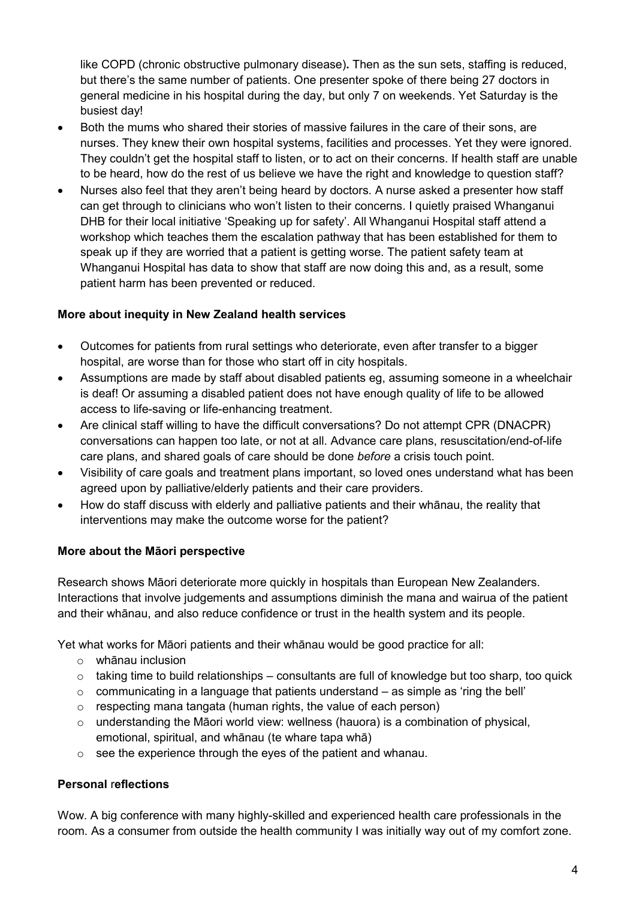like COPD (chronic obstructive pulmonary disease)**.** Then as the sun sets, staffing is reduced, but there's the same number of patients. One presenter spoke of there being 27 doctors in general medicine in his hospital during the day, but only 7 on weekends. Yet Saturday is the busiest day!

- Both the mums who shared their stories of massive failures in the care of their sons, are nurses. They knew their own hospital systems, facilities and processes. Yet they were ignored. They couldn't get the hospital staff to listen, or to act on their concerns. If health staff are unable to be heard, how do the rest of us believe we have the right and knowledge to question staff?
- Nurses also feel that they aren't being heard by doctors. A nurse asked a presenter how staff can get through to clinicians who won't listen to their concerns. I quietly praised Whanganui DHB for their local initiative 'Speaking up for safety'. All Whanganui Hospital staff attend a workshop which teaches them the escalation pathway that has been established for them to speak up if they are worried that a patient is getting worse. The patient safety team at Whanganui Hospital has data to show that staff are now doing this and, as a result, some patient harm has been prevented or reduced.

# **More about inequity in New Zealand health services**

- Outcomes for patients from rural settings who deteriorate, even after transfer to a bigger hospital, are worse than for those who start off in city hospitals.
- Assumptions are made by staff about disabled patients eg, assuming someone in a wheelchair is deaf! Or assuming a disabled patient does not have enough quality of life to be allowed access to life-saving or life-enhancing treatment.
- Are clinical staff willing to have the difficult conversations? Do not attempt CPR (DNACPR) conversations can happen too late, or not at all. Advance care plans, resuscitation/end-of-life care plans, and shared goals of care should be done *before* a crisis touch point.
- Visibility of care goals and treatment plans important, so loved ones understand what has been agreed upon by palliative/elderly patients and their care providers.
- How do staff discuss with elderly and palliative patients and their whānau, the reality that interventions may make the outcome worse for the patient?

# **More about the Māori perspective**

Research shows Māori deteriorate more quickly in hospitals than European New Zealanders. Interactions that involve judgements and assumptions diminish the mana and wairua of the patient and their whānau, and also reduce confidence or trust in the health system and its people.

Yet what works for Māori patients and their whānau would be good practice for all:

- o whānau inclusion
- $\circ$  taking time to build relationships consultants are full of knowledge but too sharp, too quick
- $\circ$  communicating in a language that patients understand as simple as 'ring the bell'
- $\circ$  respecting mana tangata (human rights, the value of each person)
- $\circ$  understanding the Māori world view: wellness (hauora) is a combination of physical. emotional, spiritual, and whānau (te whare tapa whā)
- o see the experience through the eyes of the patient and whanau.

### **Personal** r**eflections**

Wow. A big conference with many highly-skilled and experienced health care professionals in the room. As a consumer from outside the health community I was initially way out of my comfort zone.